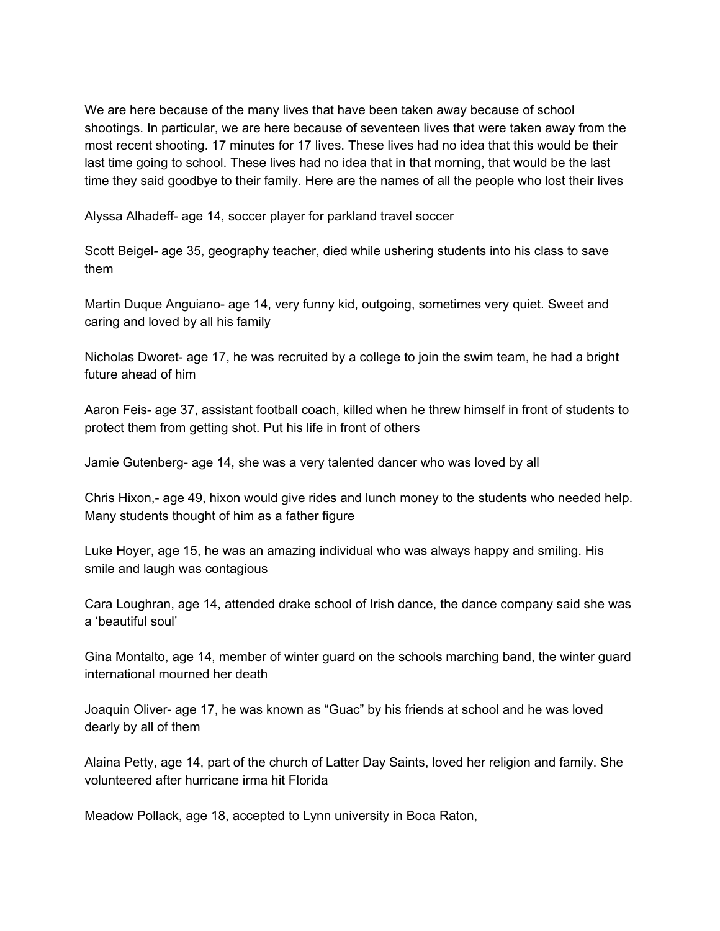We are here because of the many lives that have been taken away because of school shootings. In particular, we are here because of seventeen lives that were taken away from the most recent shooting. 17 minutes for 17 lives. These lives had no idea that this would be their last time going to school. These lives had no idea that in that morning, that would be the last time they said goodbye to their family. Here are the names of all the people who lost their lives

Alyssa Alhadeff- age 14, soccer player for parkland travel soccer

Scott Beigel*-* age 35, geography teacher, died while ushering students into his class to save them

Martin Duque Anguiano- age 14, very funny kid, outgoing, sometimes very quiet. Sweet and caring and loved by all his family

Nicholas Dworet- age 17, he was recruited by a college to join the swim team, he had a bright future ahead of him

Aaron Feis- age 37, assistant football coach, killed when he threw himself in front of students to protect them from getting shot. Put his life in front of others

Jamie Gutenberg- age 14, she was a very talented dancer who was loved by all

Chris Hixon,- age 49, hixon would give rides and lunch money to the students who needed help. Many students thought of him as a father figure

Luke Hoyer, age 15, he was an amazing individual who was always happy and smiling. His smile and laugh was contagious

Cara Loughran, age 14, attended drake school of Irish dance, the dance company said she was a 'beautiful soul'

Gina Montalto, age 14, member of winter guard on the schools marching band, the winter guard international mourned her death

Joaquin Oliver- age 17, he was known as "Guac" by his friends at school and he was loved dearly by all of them

Alaina Petty, age 14, part of the church of Latter Day Saints, loved her religion and family. She volunteered after hurricane irma hit Florida

Meadow Pollack, age 18, accepted to Lynn university in Boca Raton,